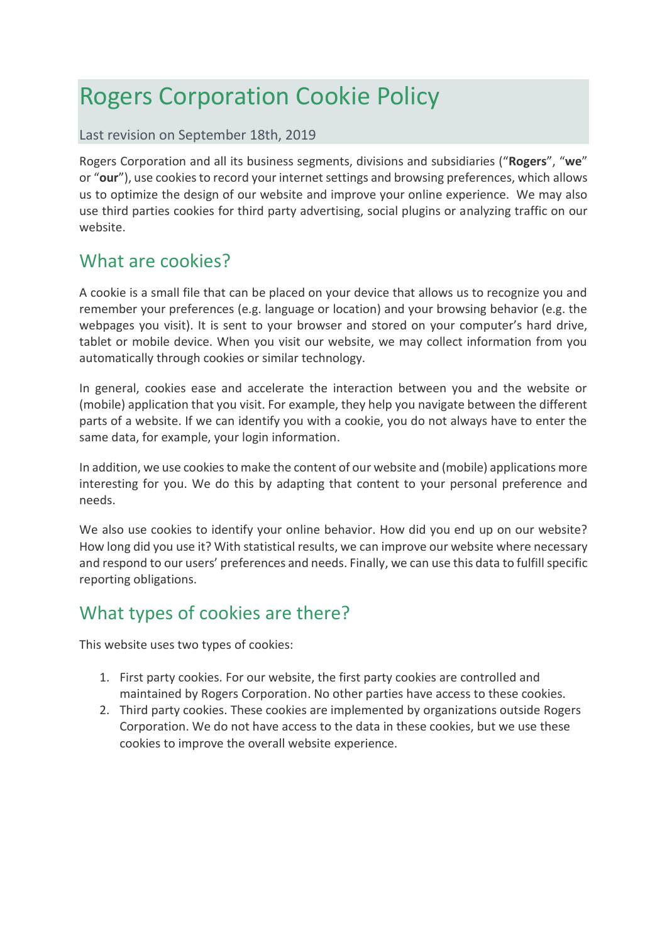# Rogers Corporation Cookie Policy

#### Last revision on September 18th, 2019

Rogers Corporation and all its business segments, divisions and subsidiaries ("**Rogers**", "**we**" or "**our**"), use cookies to record your internet settings and browsing preferences, which allows us to optimize the design of our website and improve your online experience. We may also use third parties cookies for third party advertising, social plugins or analyzing traffic on our website.

## What are cookies?

A cookie is a small file that can be placed on your device that allows us to recognize you and remember your preferences (e.g. language or location) and your browsing behavior (e.g. the webpages you visit). It is sent to your browser and stored on your computer's hard drive, tablet or mobile device. When you visit our website, we may collect information from you automatically through cookies or similar technology.

In general, cookies ease and accelerate the interaction between you and the website or (mobile) application that you visit. For example, they help you navigate between the different parts of a website. If we can identify you with a cookie, you do not always have to enter the same data, for example, your login information.

In addition, we use cookies to make the content of our website and (mobile) applications more interesting for you. We do this by adapting that content to your personal preference and needs.

We also use cookies to identify your online behavior. How did you end up on our website? How long did you use it? With statistical results, we can improve our website where necessary and respond to our users' preferences and needs. Finally, we can use this data to fulfill specific reporting obligations.

## What types of cookies are there?

This website uses two types of cookies:

- 1. First party cookies. For our website, the first party cookies are controlled and maintained by Rogers Corporation. No other parties have access to these cookies.
- 2. Third party cookies. These cookies are implemented by organizations outside Rogers Corporation. We do not have access to the data in these cookies, but we use these cookies to improve the overall website experience.